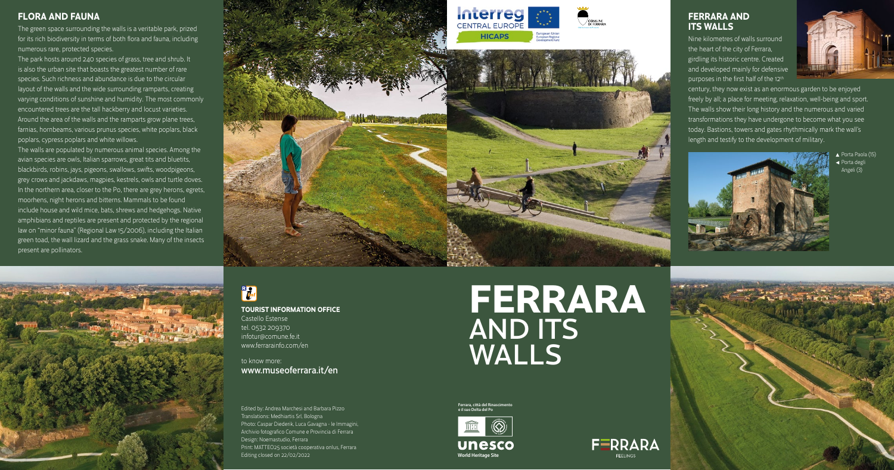



**Ferrara, città del Rinascimento e il suo Delta del Po**

Porta Paola (15) Porta degli Angeli (3)



# **FERRARA** AND ITS WALLS

FERRARA

**TOURIST INFORMATION OFFICE**

Castello Estense tel. 0532 209370 infotur@comune.fe.it www.ferrarainfo.com/en

to know more: www.museoferrara.it/en

Nine kilometres of walls surround the heart of the city of Ferrara, girdling its historic centre. Created and developed mainly for defensive purposes in the first half of the 12<sup>th</sup>



Edited by: Andrea Marchesi and Barbara Pizzo Translations: Medhiartis Srl, Bologna Photo: Caspar Diederik, Luca Gavagna - le Immagini, Archivio fotografico Comune e Provincia di Ferrara Design: Noemastudio, Ferrara Print: MATTEO25 società cooperativa onlus, Ferrara Editing closed on 22/02/2022

## **FERRARA AND ITS WALLS**

century, they now exist as an enormous garden to be enjoyed freely by all; a place for meeting, relaxation, well-being and sport. The walls show their long history and the numerous and varied transformations they have undergone to become what you see today. Bastions, towers and gates rhythmically mark the wall's length and testify to the development of military.



#### **FLORA AND FAUNA**

The green space surrounding the walls is a veritable park, prized for its rich biodiversity in terms of both flora and fauna, including numerous rare, protected species.

The park hosts around 240 species of grass, tree and shrub. It is also the urban site that boasts the greatest number of rare species. Such richness and abundance is due to the circular layout of the walls and the wide surrounding ramparts, creating varying conditions of sunshine and humidity. The most commonly encountered trees are the tall hackberry and locust varieties. Around the area of the walls and the ramparts grow plane trees, farnias, hornbeams, various prunus species, white poplars, black poplars, cypress poplars and white willows.

The walls are populated by numerous animal species. Among the avian species are owls, Italian sparrows, great tits and bluetits, blackbirds, robins, jays, pigeons, swallows, swifts, woodpigeons, grey crows and jackdaws, magpies, kestrels, owls and turtle doves. In the northern area, closer to the Po, there are grey herons, egrets, moorhens, night herons and bitterns. Mammals to be found include house and wild mice, bats, shrews and hedgehogs. Native amphibians and reptiles are present and protected by the regional law on "minor fauna" (Regional Law 15/2006), including the Italian green toad, the wall lizard and the grass snake. Many of the insects present are pollinators.





## R<sub>d</sub>